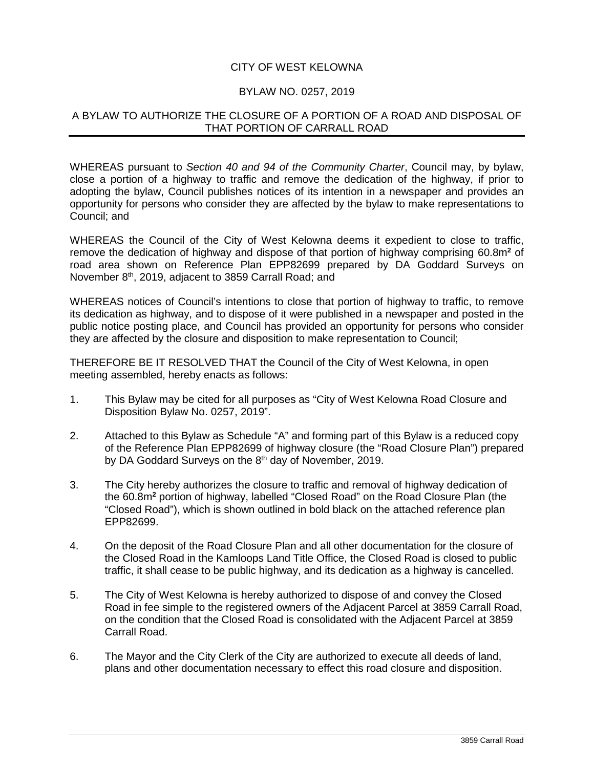## CITY OF WEST KELOWNA

## BYLAW NO. 0257, 2019

## A BYLAW TO AUTHORIZE THE CLOSURE OF A PORTION OF A ROAD AND DISPOSAL OF THAT PORTION OF CARRALL ROAD

WHEREAS pursuant to *Section 40 and 94 of the Community Charter*, Council may, by bylaw, close a portion of a highway to traffic and remove the dedication of the highway, if prior to adopting the bylaw, Council publishes notices of its intention in a newspaper and provides an opportunity for persons who consider they are affected by the bylaw to make representations to Council; and

WHEREAS the Council of the City of West Kelowna deems it expedient to close to traffic, remove the dedication of highway and dispose of that portion of highway comprising 60.8m**<sup>2</sup>** of road area shown on Reference Plan EPP82699 prepared by DA Goddard Surveys on November 8<sup>th</sup>, 2019, adjacent to 3859 Carrall Road; and

WHEREAS notices of Council's intentions to close that portion of highway to traffic, to remove its dedication as highway, and to dispose of it were published in a newspaper and posted in the public notice posting place, and Council has provided an opportunity for persons who consider they are affected by the closure and disposition to make representation to Council;

THEREFORE BE IT RESOLVED THAT the Council of the City of West Kelowna, in open meeting assembled, hereby enacts as follows:

- 1. This Bylaw may be cited for all purposes as "City of West Kelowna Road Closure and Disposition Bylaw No. 0257, 2019".
- 2. Attached to this Bylaw as Schedule "A" and forming part of this Bylaw is a reduced copy of the Reference Plan EPP82699 of highway closure (the "Road Closure Plan") prepared by DA Goddard Surveys on the 8<sup>th</sup> day of November, 2019.
- 3. The City hereby authorizes the closure to traffic and removal of highway dedication of the 60.8m**<sup>2</sup>** portion of highway, labelled "Closed Road" on the Road Closure Plan (the "Closed Road"), which is shown outlined in bold black on the attached reference plan EPP82699.
- 4. On the deposit of the Road Closure Plan and all other documentation for the closure of the Closed Road in the Kamloops Land Title Office, the Closed Road is closed to public traffic, it shall cease to be public highway, and its dedication as a highway is cancelled.
- 5. The City of West Kelowna is hereby authorized to dispose of and convey the Closed Road in fee simple to the registered owners of the Adjacent Parcel at 3859 Carrall Road, on the condition that the Closed Road is consolidated with the Adjacent Parcel at 3859 Carrall Road.
- 6. The Mayor and the City Clerk of the City are authorized to execute all deeds of land, plans and other documentation necessary to effect this road closure and disposition.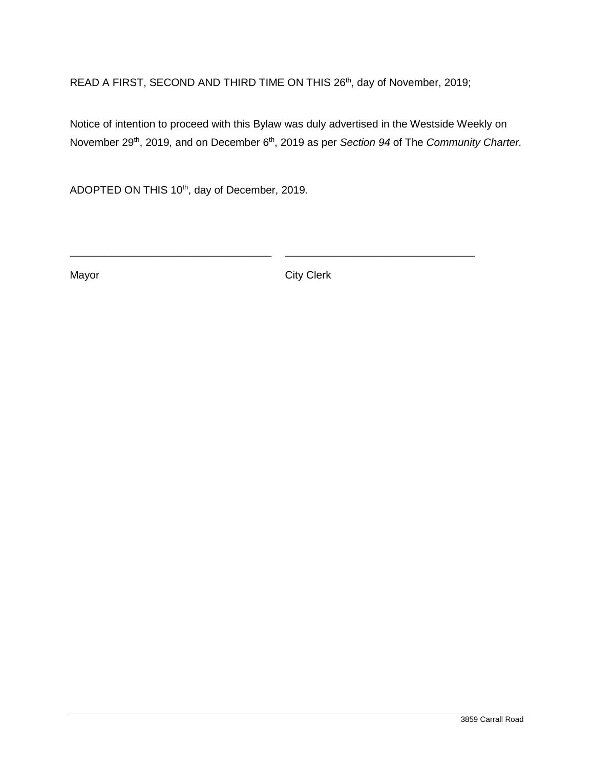READ A FIRST, SECOND AND THIRD TIME ON THIS 26th, day of November, 2019;

\_\_\_\_\_\_\_\_\_\_\_\_\_\_\_\_\_\_\_\_\_\_\_\_\_\_\_\_\_\_\_\_\_\_ \_\_\_\_\_\_\_\_\_\_\_\_\_\_\_\_\_\_\_\_\_\_\_\_\_\_\_\_\_\_\_\_

Notice of intention to proceed with this Bylaw was duly advertised in the Westside Weekly on November 29<sup>th</sup>, 2019, and on December 6<sup>th</sup>, 2019 as per *Section 94* of The *Community Charter*.

ADOPTED ON THIS 10<sup>th</sup>, day of December, 2019.

Mayor City Clerk